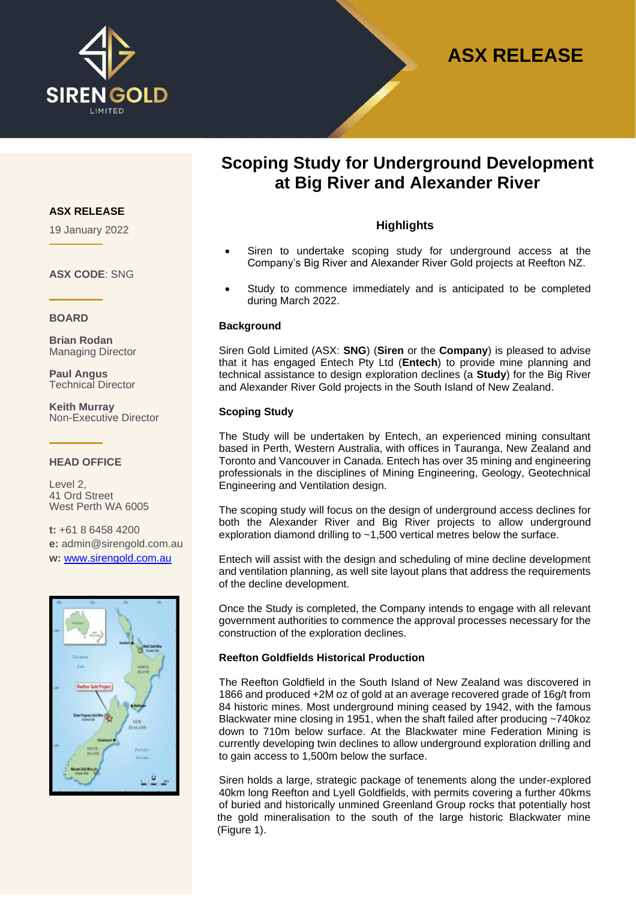

# **ASX RELEASE**

# **Scoping Study for Underground Development at Big River and Alexander River**

# **Highlights**

- Siren to undertake scoping study for underground access at the Company's Big River and Alexander River Gold projects at Reefton NZ.
- Study to commence immediately and is anticipated to be completed during March 2022.

#### **Background**

Siren Gold Limited (ASX: **SNG**) (**Siren** or the **Company**) is pleased to advise that it has engaged Entech Pty Ltd (**Entech**) to provide mine planning and technical assistance to design exploration declines (a **Study**) for the Big River and Alexander River Gold projects in the South Island of New Zealand.

#### **Scoping Study**

The Study will be undertaken by Entech, an experienced mining consultant based in Perth, Western Australia, with offices in Tauranga, New Zealand and Toronto and Vancouver in Canada. Entech has over 35 mining and engineering professionals in the disciplines of Mining Engineering, Geology, Geotechnical Engineering and Ventilation design.

The scoping study will focus on the design of underground access declines for both the Alexander River and Big River projects to allow underground exploration diamond drilling to ~1,500 vertical metres below the surface.

Entech will assist with the design and scheduling of mine decline development and ventilation planning, as well site layout plans that address the requirements of the decline development.

Once the Study is completed, the Company intends to engage with all relevant government authorities to commence the approval processes necessary for the construction of the exploration declines.

#### **Reefton Goldfields Historical Production**

The Reefton Goldfield in the South Island of New Zealand was discovered in 1866 and produced +2M oz of gold at an average recovered grade of 16g/t from 84 historic mines. Most underground mining ceased by 1942, with the famous Blackwater mine closing in 1951, when the shaft failed after producing ~740koz down to 710m below surface. At the Blackwater mine Federation Mining is currently developing twin declines to allow underground exploration drilling and to gain access to 1,500m below the surface.

Siren holds a large, strategic package of tenements along the under-explored 40km long Reefton and Lyell Goldfields, with permits covering a further 40kms of buried and historically unmined Greenland Group rocks that potentially host the gold mineralisation to the south of the large historic Blackwater mine (Figure 1).

#### **ASX RELEASE**

19 January 2022

### **ASX CODE**: SNG

#### **BOARD**

**Brian Rodan** Managing Director

**Paul Angus** Technical Director

**Keith Murray** Non-Executive Director

#### **HEAD OFFICE**

Level 2, 41 Ord Street West Perth WA 6005

**t:** +61 8 6458 4200 **e:** admin@sirengold.com.au **w:** [www.sirengold.com.au](http://www.sirengold.com.au/)

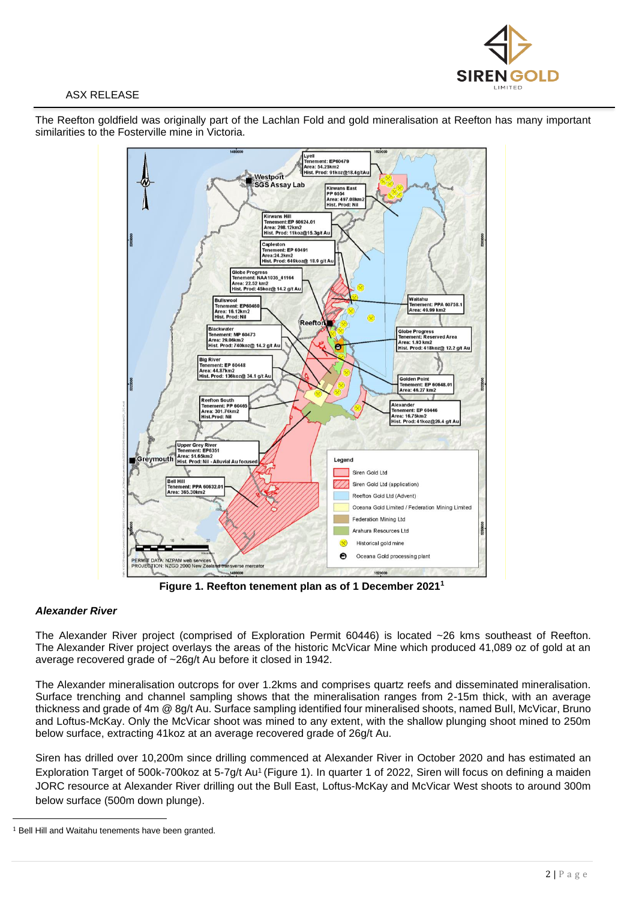

# ASX RELEASE

The Reefton goldfield was originally part of the Lachlan Fold and gold mineralisation at Reefton has many important similarities to the Fosterville mine in Victoria.



**Figure 1. Reefton tenement plan as of 1 December 2021<sup>1</sup>**

# *Alexander River*

The Alexander River project (comprised of Exploration Permit 60446) is located ~26 kms southeast of Reefton. The Alexander River project overlays the areas of the historic McVicar Mine which produced 41,089 oz of gold at an average recovered grade of ~26g/t Au before it closed in 1942.

The Alexander mineralisation outcrops for over 1.2kms and comprises quartz reefs and disseminated mineralisation. Surface trenching and channel sampling shows that the mineralisation ranges from 2-15m thick, with an average thickness and grade of 4m @ 8g/t Au. Surface sampling identified four mineralised shoots, named Bull, McVicar, Bruno and Loftus-McKay. Only the McVicar shoot was mined to any extent, with the shallow plunging shoot mined to 250m below surface, extracting 41koz at an average recovered grade of 26g/t Au.

Siren has drilled over 10,200m since drilling commenced at Alexander River in October 2020 and has estimated an Exploration Target of 500k-700koz at 5-7g/t Au<sup>1</sup> (Figure 1). In quarter 1 of 2022, Siren will focus on defining a maiden JORC resource at Alexander River drilling out the Bull East, Loftus-McKay and McVicar West shoots to around 300m below surface (500m down plunge).

<sup>&</sup>lt;sup>1</sup> Bell Hill and Waitahu tenements have been granted.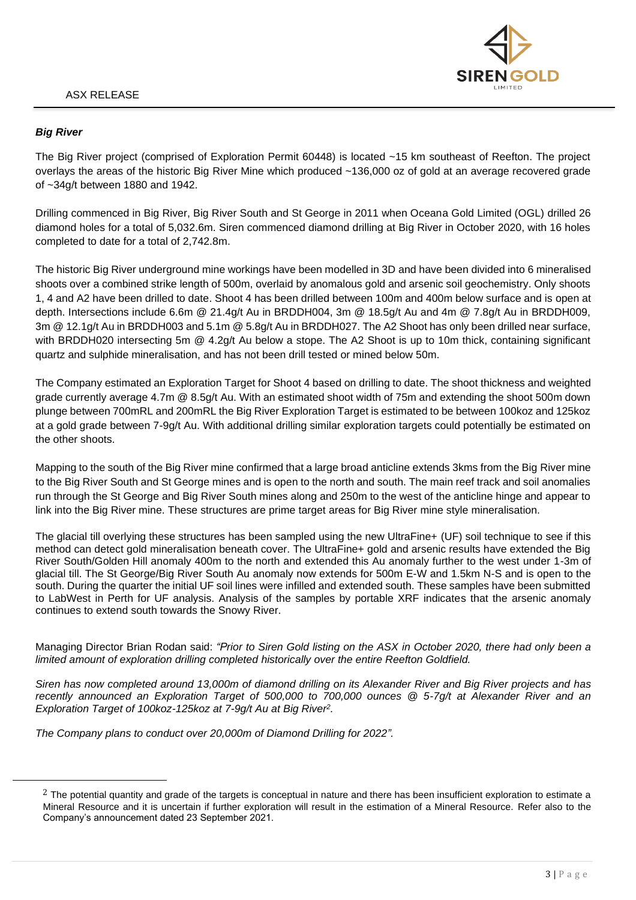

# *Big River*

The Big River project (comprised of Exploration Permit 60448) is located ~15 km southeast of Reefton. The project overlays the areas of the historic Big River Mine which produced ~136,000 oz of gold at an average recovered grade of ~34g/t between 1880 and 1942.

Drilling commenced in Big River, Big River South and St George in 2011 when Oceana Gold Limited (OGL) drilled 26 diamond holes for a total of 5,032.6m. Siren commenced diamond drilling at Big River in October 2020, with 16 holes completed to date for a total of 2,742.8m.

The historic Big River underground mine workings have been modelled in 3D and have been divided into 6 mineralised shoots over a combined strike length of 500m, overlaid by anomalous gold and arsenic soil geochemistry. Only shoots 1, 4 and A2 have been drilled to date. Shoot 4 has been drilled between 100m and 400m below surface and is open at depth. Intersections include 6.6m @ 21.4g/t Au in BRDDH004, 3m @ 18.5g/t Au and 4m @ 7.8g/t Au in BRDDH009, 3m @ 12.1g/t Au in BRDDH003 and 5.1m @ 5.8g/t Au in BRDDH027. The A2 Shoot has only been drilled near surface, with BRDDH020 intersecting 5m @ 4.2g/t Au below a stope. The A2 Shoot is up to 10m thick, containing significant quartz and sulphide mineralisation, and has not been drill tested or mined below 50m.

The Company estimated an Exploration Target for Shoot 4 based on drilling to date. The shoot thickness and weighted grade currently average 4.7m @ 8.5g/t Au. With an estimated shoot width of 75m and extending the shoot 500m down plunge between 700mRL and 200mRL the Big River Exploration Target is estimated to be between 100koz and 125koz at a gold grade between 7-9g/t Au. With additional drilling similar exploration targets could potentially be estimated on the other shoots.

Mapping to the south of the Big River mine confirmed that a large broad anticline extends 3kms from the Big River mine to the Big River South and St George mines and is open to the north and south. The main reef track and soil anomalies run through the St George and Big River South mines along and 250m to the west of the anticline hinge and appear to link into the Big River mine. These structures are prime target areas for Big River mine style mineralisation.

The glacial till overlying these structures has been sampled using the new UltraFine+ (UF) soil technique to see if this method can detect gold mineralisation beneath cover. The UltraFine+ gold and arsenic results have extended the Big River South/Golden Hill anomaly 400m to the north and extended this Au anomaly further to the west under 1-3m of glacial till. The St George/Big River South Au anomaly now extends for 500m E-W and 1.5km N-S and is open to the south. During the quarter the initial UF soil lines were infilled and extended south. These samples have been submitted to LabWest in Perth for UF analysis. Analysis of the samples by portable XRF indicates that the arsenic anomaly continues to extend south towards the Snowy River.

Managing Director Brian Rodan said: *"Prior to Siren Gold listing on the ASX in October 2020, there had only been a limited amount of exploration drilling completed historically over the entire Reefton Goldfield.*

*Siren has now completed around 13,000m of diamond drilling on its Alexander River and Big River projects and has recently announced an Exploration Target of 500,000 to 700,000 ounces @ 5-7g/t at Alexander River and an Exploration Target of 100koz-125koz at 7-9g/t Au at Big River<sup>2</sup> .*

*The Company plans to conduct over 20,000m of Diamond Drilling for 2022".*

 $2$  The potential quantity and grade of the targets is conceptual in nature and there has been insufficient exploration to estimate a Mineral Resource and it is uncertain if further exploration will result in the estimation of a Mineral Resource. Refer also to the Company's announcement dated 23 September 2021.